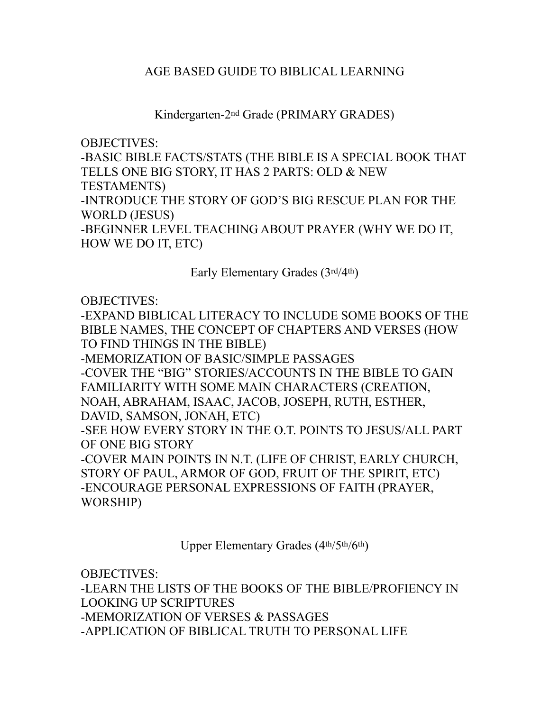## AGE BASED GUIDE TO BIBLICAL LEARNING

Kindergarten-2nd Grade (PRIMARY GRADES)

OBJECTIVES: -BASIC BIBLE FACTS/STATS (THE BIBLE IS A SPECIAL BOOK THAT TELLS ONE BIG STORY, IT HAS 2 PARTS: OLD & NEW TESTAMENTS) -INTRODUCE THE STORY OF GOD'S BIG RESCUE PLAN FOR THE WORLD (JESUS) -BEGINNER LEVEL TEACHING ABOUT PRAYER (WHY WE DO IT, HOW WE DO IT, ETC)

Early Elementary Grades (3rd/4th)

OBJECTIVES:

-EXPAND BIBLICAL LITERACY TO INCLUDE SOME BOOKS OF THE BIBLE NAMES, THE CONCEPT OF CHAPTERS AND VERSES (HOW TO FIND THINGS IN THE BIBLE) -MEMORIZATION OF BASIC/SIMPLE PASSAGES -COVER THE "BIG" STORIES/ACCOUNTS IN THE BIBLE TO GAIN FAMILIARITY WITH SOME MAIN CHARACTERS (CREATION, NOAH, ABRAHAM, ISAAC, JACOB, JOSEPH, RUTH, ESTHER, DAVID, SAMSON, JONAH, ETC) -SEE HOW EVERY STORY IN THE O.T. POINTS TO JESUS/ALL PART OF ONE BIG STORY -COVER MAIN POINTS IN N.T. (LIFE OF CHRIST, EARLY CHURCH, STORY OF PAUL, ARMOR OF GOD, FRUIT OF THE SPIRIT, ETC) -ENCOURAGE PERSONAL EXPRESSIONS OF FAITH (PRAYER, WORSHIP)

Upper Elementary Grades (4th/5th/6th)

OBJECTIVES:

-LEARN THE LISTS OF THE BOOKS OF THE BIBLE/PROFIENCY IN LOOKING UP SCRIPTURES -MEMORIZATION OF VERSES & PASSAGES -APPLICATION OF BIBLICAL TRUTH TO PERSONAL LIFE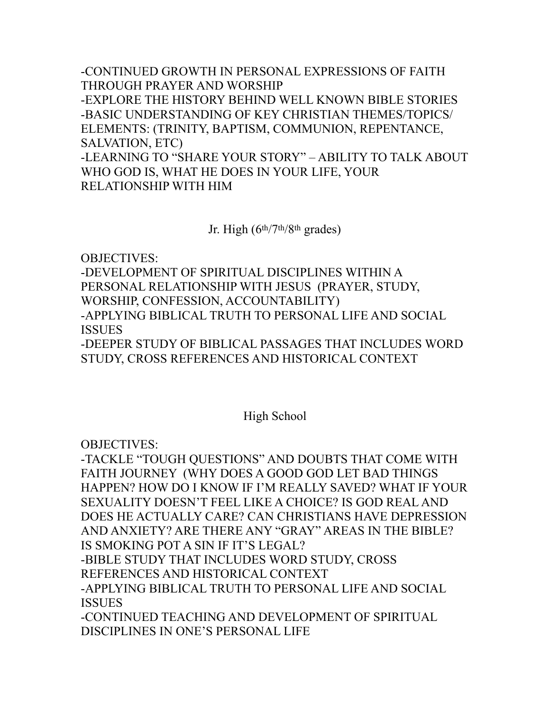-CONTINUED GROWTH IN PERSONAL EXPRESSIONS OF FAITH THROUGH PRAYER AND WORSHIP -EXPLORE THE HISTORY BEHIND WELL KNOWN BIBLE STORIES -BASIC UNDERSTANDING OF KEY CHRISTIAN THEMES/TOPICS/ ELEMENTS: (TRINITY, BAPTISM, COMMUNION, REPENTANCE, SALVATION, ETC) -LEARNING TO "SHARE YOUR STORY" – ABILITY TO TALK ABOUT WHO GOD IS, WHAT HE DOES IN YOUR LIFE, YOUR RELATIONSHIP WITH HIM

Jr. High (6th/7th/8th grades)

OBJECTIVES:

-DEVELOPMENT OF SPIRITUAL DISCIPLINES WITHIN A PERSONAL RELATIONSHIP WITH JESUS (PRAYER, STUDY, WORSHIP, CONFESSION, ACCOUNTABILITY) -APPLYING BIBLICAL TRUTH TO PERSONAL LIFE AND SOCIAL ISSUES -DEEPER STUDY OF BIBLICAL PASSAGES THAT INCLUDES WORD STUDY, CROSS REFERENCES AND HISTORICAL CONTEXT

## High School

OBJECTIVES:

-TACKLE "TOUGH QUESTIONS" AND DOUBTS THAT COME WITH FAITH JOURNEY (WHY DOES A GOOD GOD LET BAD THINGS HAPPEN? HOW DO I KNOW IF I'M REALLY SAVED? WHAT IF YOUR SEXUALITY DOESN'T FEEL LIKE A CHOICE? IS GOD REAL AND DOES HE ACTUALLY CARE? CAN CHRISTIANS HAVE DEPRESSION AND ANXIETY? ARE THERE ANY "GRAY" AREAS IN THE BIBLE? IS SMOKING POT A SIN IF IT'S LEGAL? -BIBLE STUDY THAT INCLUDES WORD STUDY, CROSS REFERENCES AND HISTORICAL CONTEXT -APPLYING BIBLICAL TRUTH TO PERSONAL LIFE AND SOCIAL ISSUES -CONTINUED TEACHING AND DEVELOPMENT OF SPIRITUAL DISCIPLINES IN ONE'S PERSONAL LIFE